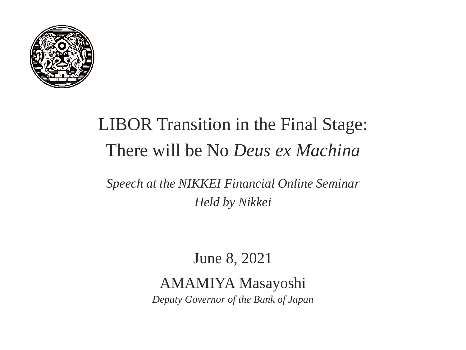

# LIBOR Transition in the Final Stage: There will be No *Deus ex Machina*

*Speech at the NIKKEI Financial Online Seminar Held by Nikkei*

June 8, 2021

#### AMAMIYA Masayoshi

*Deputy Governor of the Bank of Japan*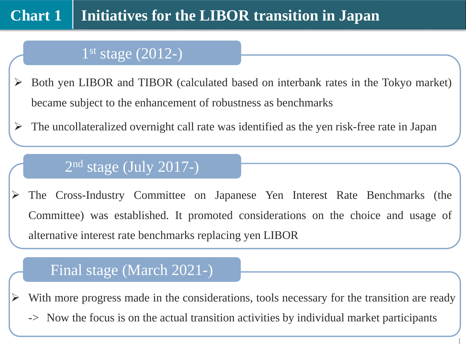### 1 st stage (2012-)

- Both yen LIBOR and TIBOR (calculated based on interbank rates in the Tokyo market) became subject to the enhancement of robustness as benchmarks
- $\triangleright$  The uncollateralized overnight call rate was identified as the yen risk-free rate in Japan

#### 2 nd stage (July 2017-)

 The Cross-Industry Committee on Japanese Yen Interest Rate Benchmarks (the Committee) was established. It promoted considerations on the choice and usage of alternative interest rate benchmarks replacing yen LIBOR

#### Final stage (March 2021-)

With more progress made in the considerations, tools necessary for the transition are ready

-> Now the focus is on the actual transition activities by individual market participants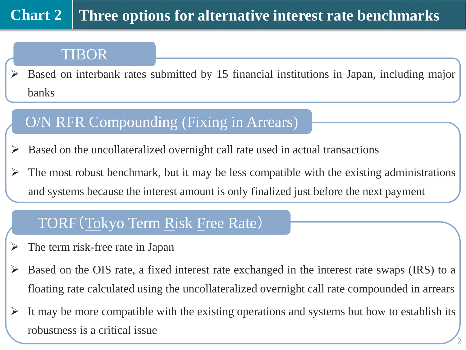#### **Three options for alternative interest rate benchmarks Chart 2**

#### TIBOR

 $\triangleright$  Based on interbank rates submitted by 15 financial institutions in Japan, including major banks

## O/N RFR Compounding (Fixing in Arrears)

 $\triangleright$  Based on the uncollateralized overnight call rate used in actual transactions

 $\triangleright$  The most robust benchmark, but it may be less compatible with the existing administrations and systems because the interest amount is only finalized just before the next payment

### TORF(Tokyo Term Risk Free Rate)

- $\triangleright$  The term risk-free rate in Japan
- $\triangleright$  Based on the OIS rate, a fixed interest rate exchanged in the interest rate swaps (IRS) to a floating rate calculated using the uncollateralized overnight call rate compounded in arrears
- $\triangleright$  It may be more compatible with the existing operations and systems but how to establish its robustness is a critical issue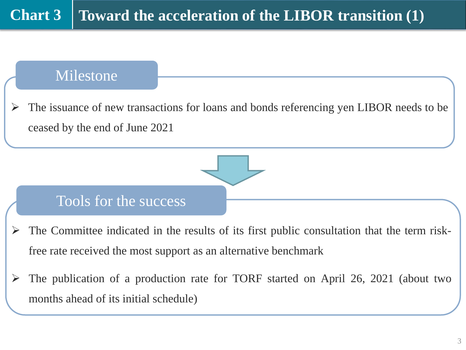#### Milestone

 The issuance of new transactions for loans and bonds referencing yen LIBOR needs to be ceased by the end of June 2021



#### Tools for the success

- The Committee indicated in the results of its first public consultation that the term riskfree rate received the most support as an alternative benchmark
- $\triangleright$  The publication of a production rate for TORF started on April 26, 2021 (about two months ahead of its initial schedule)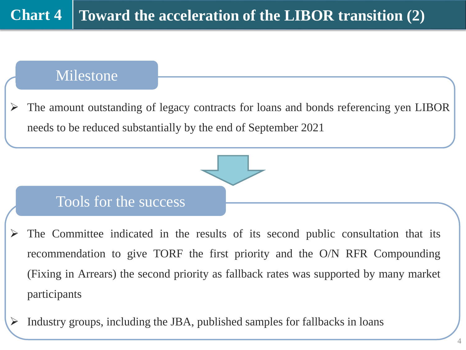#### Milestone Milestone

 The amount outstanding of legacy contracts for loans and bonds referencing yen LIBOR needs to be reduced substantially by the end of September 2021

#### Tools for the success

- The Committee indicated in the results of its second public consultation that its recommendation to give TORF the first priority and the O/N RFR Compounding (Fixing in Arrears) the second priority as fallback rates was supported by many market participants
- $\triangleright$  Industry groups, including the JBA, published samples for fallbacks in loans